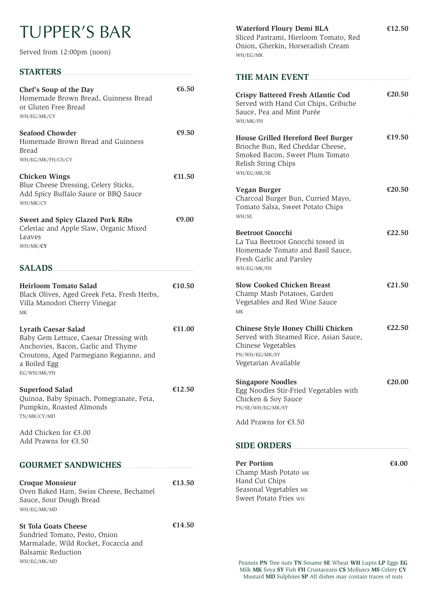# TUPPER'S BAR

Served from 12:00pm (noon)

## **STARTERS**

| Chef's Soup of the Day<br>Homemade Brown Bread, Guinness Bread<br>or Gluten Free Bread<br>WH/EG/MK/CY                                                                                | £6.50    |
|--------------------------------------------------------------------------------------------------------------------------------------------------------------------------------------|----------|
| <b>Seafood Chowder</b><br>Homemade Brown Bread and Guinness<br>Bread<br>WH/EG/MK/FH/CS/CY                                                                                            | € $9.50$ |
| <b>Chicken Wings</b><br>Blue Cheese Dressing, Celery Sticks,<br>Add Spicy Buffalo Sauce or BBQ Sauce<br>WH/MK/CY                                                                     | €11.50   |
| <b>Sweet and Spicy Glazed Pork Ribs</b><br>Celeriac and Apple Slaw, Organic Mixed<br>Leaves<br>WH/MK/CY                                                                              | €9.00    |
| SALADS                                                                                                                                                                               |          |
| Heirloom Tomato Salad<br>Black Olives, Aged Greek Feta, Fresh Herbs,<br>Villa Manodori Cherry Vinegar<br><b>MK</b>                                                                   | €10.50   |
| <b>Lyrath Caesar Salad</b><br>Baby Gem Lettuce, Caesar Dressing with<br>Anchovies, Bacon, Garlic and Thyme<br>Croutons, Aged Parmegiano Regianno, and<br>a Boiled Egg<br>EG/WH/MK/FH | €11.00   |
| <b>Superfood Salad</b><br>Quinoa, Baby Spinach, Pomegranate, Feta,<br>Pumpkin, Roasted Almonds<br>TN/MK/CY/MD                                                                        | €12.50   |
| Add Chicken for €3.00<br>Add Prawns for $£3.50$                                                                                                                                      |          |
| <b>GOURMET SANDWICHES</b>                                                                                                                                                            |          |

| <b>Croque Monsieur</b>                 | €13.50 |
|----------------------------------------|--------|
| Oven Baked Ham, Swiss Cheese, Bechamel |        |
| Sauce, Sour Dough Bread                |        |
| WH/EG/MK/MD                            |        |

#### **St Tola Goats Cheese €14.50**

Sundried Tomato, Pesto, Onion Marmalade, Wild Rocket, Focaccia and Balsamic Reduction WH/EG/MK/MD

**Waterford Floury Demi BLA** Sliced Pastrami, Hierloom Tomato, Red Onion, Gherkin, Horseradish Cream WH/EG/MK

### **THE MAIN EVENT**

| <b>Crispy Battered Fresh Atlantic Cod</b><br>Served with Hand Cut Chips, Gribiche<br>Sauce, Pea and Mint Purée<br>WH/MK/FH                             | €20.50 |
|--------------------------------------------------------------------------------------------------------------------------------------------------------|--------|
| <b>House Grilled Hereford Beef Burger</b><br>Brioche Bun, Red Cheddar Cheese,<br>Smoked Bacon, Sweet Plum Tomato<br>Relish String Chips<br>WH/EG/MK/SE | €19.50 |
| Vegan Burger<br>Charcoal Burger Bun, Curried Mayo,<br>Tomato Salsa, Sweet Potato Chips<br>WH/SE                                                        | €20.50 |
| <b>Beetroot Gnocchi</b><br>La Tua Beetroot Gnocchi tossed in<br>Homemade Tomato and Basil Sauce,<br>Fresh Garlic and Parsley<br>WH/EG/MK/FH            | €22.50 |
| <b>Slow Cooked Chicken Breast</b><br>Champ Mash Potatoes, Garden<br>Vegetables and Red Wine Sauce<br>MK                                                | €21.50 |
| Chinese Style Honey Chilli Chicken<br>Served with Steamed Rice, Asian Sauce,<br>Chinese Vegetables<br>PN/WH/EG/MK/SY<br>Vegetarian Available           | €22.50 |
| <b>Singapore Noodles</b><br>Egg Noodles Stir-Fried Vegetables with<br>Chicken & Soy Sauce<br>PN/SE/WH/EG/MK/SY                                         | €20.00 |
| Add Prawns for $£3.50$                                                                                                                                 |        |
| <b>SIDE ORDERS</b>                                                                                                                                     |        |

**Per Portion** Champ Mash Potato MK Hand Cut Chips Seasonal Vegetables MK Sweet Potato Fries WH

**€4.00**

Peanuts **PN** Tree nuts **TN** Sesame **SE** Wheat **WH** Lupin **LP** Eggs **EG** Milk **MK** Soya **SY** Fish **FH** Crustaceans **CS** Molluscs **MS** Celery **CY** Mustard **MD** Sulphites **SP** All dishes may contain traces of nuts